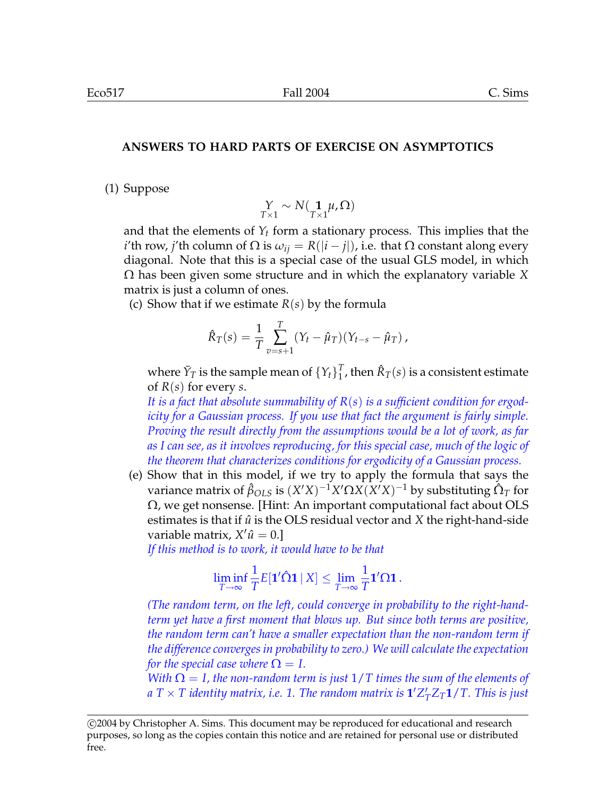## **ANSWERS TO HARD PARTS OF EXERCISE ON ASYMPTOTICS**

(1) Suppose

$$
\underset{T\times 1}{Y} \sim N(\underset{T\times 1}{\mathbf{1}}\mu, \Omega)
$$

and that the elements of  $Y_t$  form a stationary process. This implies that the *i*'th row, *j*'th column of  $\Omega$  is  $\omega_{ij} = R(|i - j|)$ , i.e. that  $\Omega$  constant along every diagonal. Note that this is a special case of the usual GLS model, in which Ω has been given some structure and in which the explanatory variable *X* matrix is just a column of ones.

(c) Show that if we estimate *R*(*s*) by the formula

$$
\hat{R}_T(s) = \frac{1}{T} \sum_{v=s+1}^T (Y_t - \hat{\mu}_T) (Y_{t-s} - \hat{\mu}_T) ,
$$

where  $\bar{Y}_T$  is the sample mean of  $\left\{Y_t\right\}_1^T$  $_{1}^{T}$ , then  $\hat{R}_{T}(s)$  is a consistent estimate of *R*(*s*) for every *s*.

*It is a fact that absolute summability of R*(*s*) *is a sufficient condition for ergodicity for a Gaussian process. If you use that fact the argument is fairly simple. Proving the result directly from the assumptions would be a lot of work, as far as I can see, as it involves reproducing, for this special case, much of the logic of the theorem that characterizes conditions for ergodicity of a Gaussian process.*

(e) Show that in this model, if we try to apply the formula that says the  $\text{variance matrix of } \hat{\beta}_{OLS} \text{ is } (X'X)^{-1}X'\Omega X (X'X)^{-1} \text{ by substituting } \hat{\Omega}_T \text{ for } \Omega$  $\Omega$ , we get nonsense. [Hint: An important computational fact about OLS estimates is that if  $\hat{u}$  is the OLS residual vector and  $X$  the right-hand-side variable matrix*, X'û* = 0.]

*If this method is to work, it would have to be that*

$$
\liminf_{T\to\infty}\frac1T E[\mathbf{1}'\hat{\mathbf{\Omega}}\mathbf{1}\,|\, X]\leq \lim_{T\to\infty}\frac1T\mathbf{1}'\mathbf{\Omega}\mathbf{1}\,.
$$

*(The random term, on the left, could converge in probability to the right-handterm yet have a first moment that blows up. But since both terms are positive, the random term can't have a smaller expectation than the non-random term if the difference converges in probability to zero.) We will calculate the expectation for the special case where*  $\Omega = I$ .

*With*  $\Omega = I$ , the non-random term is just  $1/T$  times the sum of the elements of  $a \text{ } T \times T$  identity matrix, i.e. 1. The random matrix is  $\textbf{1}'Z_{T}'Z_{T}\textbf{1}/T$ . This is just

c 2004 by Christopher A. Sims. This document may be reproduced for educational and research purposes, so long as the copies contain this notice and are retained for personal use or distributed free.